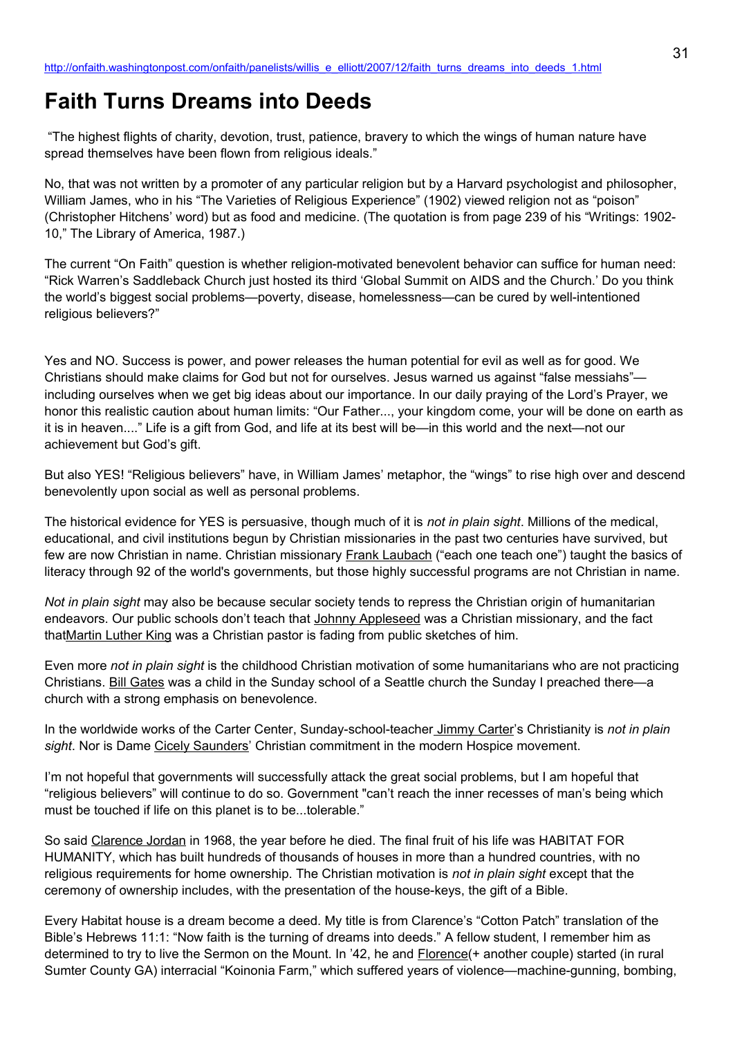# **Faith Turns Dreams into Deeds**

 "The highest flights of charity, devotion, trust, patience, bravery to which the wings of human nature have spread themselves have been flown from religious ideals."

No, that was not written by a promoter of any particular religion but by a Harvard psychologist and philosopher, William James, who in his "The Varieties of Religious Experience" (1902) viewed religion not as "poison" (Christopher Hitchens' word) but as food and medicine. (The quotation is from page 239 of his "Writings: 1902- 10," The Library of America, 1987.)

The current "On Faith" question is whether religion-motivated benevolent behavior can suffice for human need: "Rick Warren's Saddleback Church just hosted its third 'Global Summit on AIDS and the Church.' Do you think the world's biggest social problems—poverty, disease, homelessness—can be cured by well-intentioned religious believers?"

Yes and NO. Success is power, and power releases the human potential for evil as well as for good. We Christians should make claims for God but not for ourselves. Jesus warned us against "false messiahs" including ourselves when we get big ideas about our importance. In our daily praying of the Lord's Prayer, we honor this realistic caution about human limits: "Our Father..., your kingdom come, your will be done on earth as it is in heaven...." Life is a gift from God, and life at its best will be—in this world and the next—not our achievement but God's gift.

But also YES! "Religious believers" have, in William James' metaphor, the "wings" to rise high over and descend benevolently upon social as well as personal problems.

The historical evidence for YES is persuasive, though much of it is *not in plain sight*. Millions of the medical, educational, and civil institutions begun by Christian missionaries in the past two centuries have survived, but few are now Christian in name. Christian missionary **Frank Laubach** ("each one teach one") taught the basics of literacy through 92 of the world's governments, but those highly successful programs are not Christian in name.

*Not in plain sight* may also be because secular society tends to repress the Christian origin of humanitarian endeavors. Our public schools don't teach that Johnny Appleseed was a Christian missionary, and the fact thatMartin Luther King was a Christian pastor is fading from public sketches of him.

Even more *not in plain sight* is the childhood Christian motivation of some humanitarians who are not practicing Christians. Bill Gates was a child in the Sunday school of a Seattle church the Sunday I preached there—a church with a strong emphasis on benevolence.

In the worldwide works of the Carter Center, Sunday-school-teacher Jimmy Carter's Christianity is *not in plain sight*. Nor is Dame Cicely Saunders' Christian commitment in the modern Hospice movement.

I'm not hopeful that governments will successfully attack the great social problems, but I am hopeful that "religious believers" will continue to do so. Government "can't reach the inner recesses of man's being which must be touched if life on this planet is to be...tolerable."

So said Clarence Jordan in 1968, the year before he died. The final fruit of his life was HABITAT FOR HUMANITY, which has built hundreds of thousands of houses in more than a hundred countries, with no religious requirements for home ownership. The Christian motivation is *not in plain sight* except that the ceremony of ownership includes, with the presentation of the house-keys, the gift of a Bible.

Every Habitat house is a dream become a deed. My title is from Clarence's "Cotton Patch" translation of the Bible's Hebrews 11:1: "Now faith is the turning of dreams into deeds." A fellow student, I remember him as determined to try to live the Sermon on the Mount. In '42, he and Florence(+ another couple) started (in rural Sumter County GA) interracial "Koinonia Farm," which suffered years of violence—machine-gunning, bombing,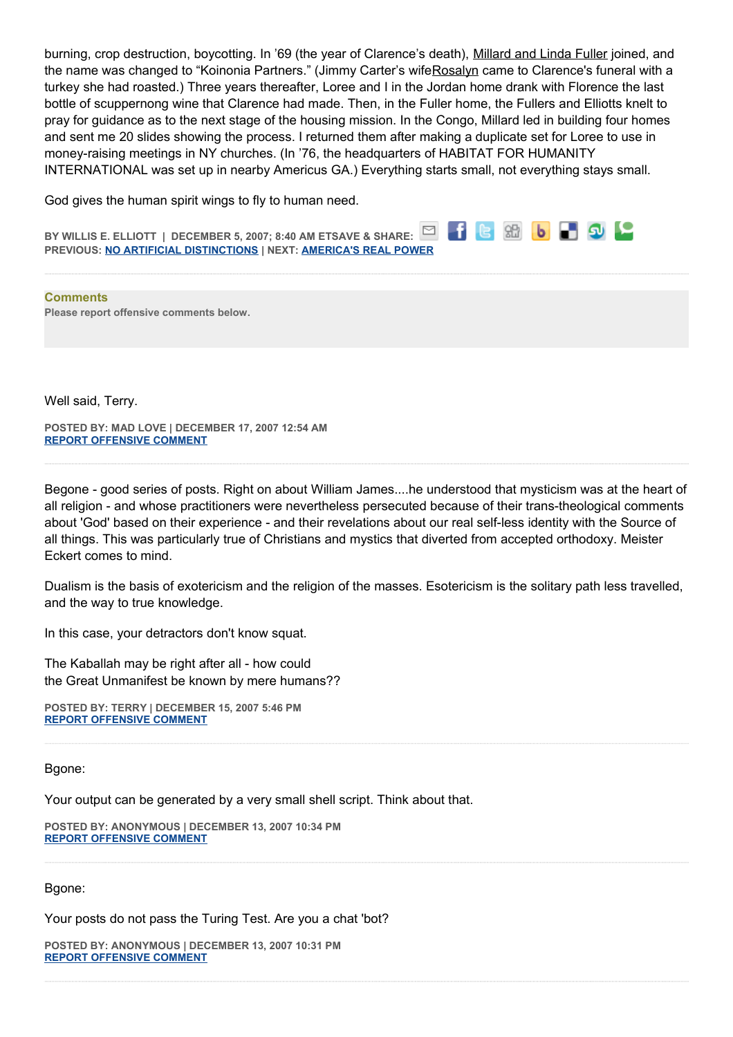burning, crop destruction, boycotting. In '69 (the year of Clarence's death), Millard and Linda Fuller joined, and the name was changed to "Koinonia Partners." (Jimmy Carter's wifeRosalyn came to Clarence's funeral with a turkey she had roasted.) Three years thereafter, Loree and I in the Jordan home drank with Florence the last bottle of scuppernong wine that Clarence had made. Then, in the Fuller home, the Fullers and Elliotts knelt to pray for guidance as to the next stage of the housing mission. In the Congo, Millard led in building four homes and sent me 20 slides showing the process. I returned them after making a duplicate set for Loree to use in money-raising meetings in NY churches. (In '76, the headquarters of HABITAT FOR HUMANITY INTERNATIONAL was set up in nearby Americus GA.) Everything starts small, not everything stays small.

God gives the human spirit wings to fly to human need.

88 b b 9 9 ⊠ **BY WILLIS E. ELLIOTT | DECEMBER 5, 2007; 8:40 AM ETSAVE & SHARE: PREVIOUS: [NO ARTIFICIAL DISTINCTIONS](http://onfaith.washingtonpost.com/onfaith/panelists/michael_otterson/2007/12/no_artificial_distinctions.html) | NEXT: [AMERICA'S REAL POWER](http://onfaith.washingtonpost.com/onfaith/panelists/eboo_patel/2007/12/americas_real_power.html)**

**Comments Please report offensive comments below.**

Well said, Terry.

**POSTED BY: MAD LOVE | DECEMBER 17, 2007 12:54 AM [REPORT OFFENSIVE COMMENT](mailto:blogs@washingtonpost.com?subject=On%20Faith%20Panelists%20Blog%20%20%7C%20%20Mad%20Love%20%20%7C%20%20Faith%20Turns%20Dreams%20into%20Deeds%20%20%7C%20%201909969&body=%0D%0D%0D%0D%0D================%0D?__mode=view%26_type=comment%26id=1909969%26blog_id=618)**

Begone - good series of posts. Right on about William James....he understood that mysticism was at the heart of all religion - and whose practitioners were nevertheless persecuted because of their trans-theological comments about 'God' based on their experience - and their revelations about our real self-less identity with the Source of all things. This was particularly true of Christians and mystics that diverted from accepted orthodoxy. Meister Eckert comes to mind.

Dualism is the basis of exotericism and the religion of the masses. Esotericism is the solitary path less travelled, and the way to true knowledge.

In this case, your detractors don't know squat.

The Kaballah may be right after all - how could the Great Unmanifest be known by mere humans??

**POSTED BY: TERRY | DECEMBER 15, 2007 5:46 PM [REPORT OFFENSIVE COMMENT](mailto:blogs@washingtonpost.com?subject=On%20Faith%20Panelists%20Blog%20%20%7C%20%20Terry%20%20%7C%20%20Faith%20Turns%20Dreams%20into%20Deeds%20%20%7C%20%201901378&body=%0D%0D%0D%0D%0D================%0D?__mode=view%26_type=comment%26id=1901378%26blog_id=618)**

Bgone:

Your output can be generated by a very small shell script. Think about that.

**POSTED BY: ANONYMOUS | DECEMBER 13, 2007 10:34 PM [REPORT OFFENSIVE COMMENT](mailto:blogs@washingtonpost.com?subject=On%20Faith%20Panelists%20Blog%20%20%7C%20%20Anonymous%20%20%7C%20%20Faith%20Turns%20Dreams%20into%20Deeds%20%20%7C%20%201890256&body=%0D%0D%0D%0D%0D================%0D?__mode=view%26_type=comment%26id=1890256%26blog_id=618)**

Bgone:

Your posts do not pass the Turing Test. Are you a chat 'bot?

**POSTED BY: ANONYMOUS | DECEMBER 13, 2007 10:31 PM [REPORT OFFENSIVE COMMENT](mailto:blogs@washingtonpost.com?subject=On%20Faith%20Panelists%20Blog%20%20%7C%20%20Anonymous%20%20%7C%20%20Faith%20Turns%20Dreams%20into%20Deeds%20%20%7C%20%201890227&body=%0D%0D%0D%0D%0D================%0D?__mode=view%26_type=comment%26id=1890227%26blog_id=618)**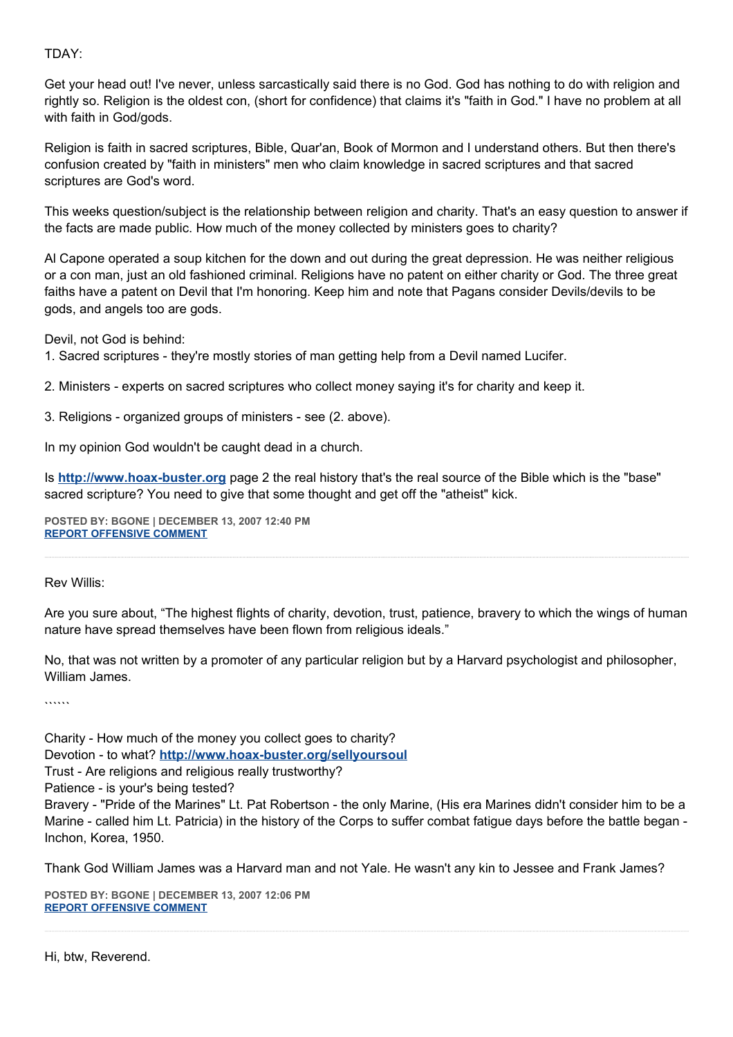## TDAY:

Get your head out! I've never, unless sarcastically said there is no God. God has nothing to do with religion and rightly so. Religion is the oldest con, (short for confidence) that claims it's "faith in God." I have no problem at all with faith in God/gods.

Religion is faith in sacred scriptures, Bible, Quar'an, Book of Mormon and I understand others. But then there's confusion created by "faith in ministers" men who claim knowledge in sacred scriptures and that sacred scriptures are God's word.

This weeks question/subject is the relationship between religion and charity. That's an easy question to answer if the facts are made public. How much of the money collected by ministers goes to charity?

Al Capone operated a soup kitchen for the down and out during the great depression. He was neither religious or a con man, just an old fashioned criminal. Religions have no patent on either charity or God. The three great faiths have a patent on Devil that I'm honoring. Keep him and note that Pagans consider Devils/devils to be gods, and angels too are gods.

Devil, not God is behind:

1. Sacred scriptures - they're mostly stories of man getting help from a Devil named Lucifer.

2. Ministers - experts on sacred scriptures who collect money saying it's for charity and keep it.

3. Religions - organized groups of ministers - see (2. above).

In my opinion God wouldn't be caught dead in a church.

Is **[http://www.hoax-buster.org](http://www.hoax-buster.org/)** page 2 the real history that's the real source of the Bible which is the "base" sacred scripture? You need to give that some thought and get off the "atheist" kick.

**POSTED BY: BGONE | DECEMBER 13, 2007 12:40 PM [REPORT OFFENSIVE COMMENT](mailto:blogs@washingtonpost.com?subject=On%20Faith%20Panelists%20Blog%20%20%7C%20%20BGone%20%20%7C%20%20Faith%20Turns%20Dreams%20into%20Deeds%20%20%7C%20%201887448&body=%0D%0D%0D%0D%0D================%0D?__mode=view%26_type=comment%26id=1887448%26blog_id=618)**

Rev Willis:

Are you sure about, "The highest flights of charity, devotion, trust, patience, bravery to which the wings of human nature have spread themselves have been flown from religious ideals."

No, that was not written by a promoter of any particular religion but by a Harvard psychologist and philosopher, William James.

 $\cdots$ 

Charity - How much of the money you collect goes to charity? Devotion - to what? **<http://www.hoax-buster.org/sellyoursoul>** Trust - Are religions and religious really trustworthy? Patience - is your's being tested? Bravery - "Pride of the Marines" Lt. Pat Robertson - the only Marine, (His era Marines didn't consider him to be a Marine - called him Lt. Patricia) in the history of the Corps to suffer combat fatigue days before the battle began - Inchon, Korea, 1950.

Thank God William James was a Harvard man and not Yale. He wasn't any kin to Jessee and Frank James?

**POSTED BY: BGONE | DECEMBER 13, 2007 12:06 PM [REPORT OFFENSIVE COMMENT](mailto:blogs@washingtonpost.com?subject=On%20Faith%20Panelists%20Blog%20%20%7C%20%20BGone%20%20%7C%20%20Faith%20Turns%20Dreams%20into%20Deeds%20%20%7C%20%201887215&body=%0D%0D%0D%0D%0D================%0D?__mode=view%26_type=comment%26id=1887215%26blog_id=618)**

Hi, btw, Reverend.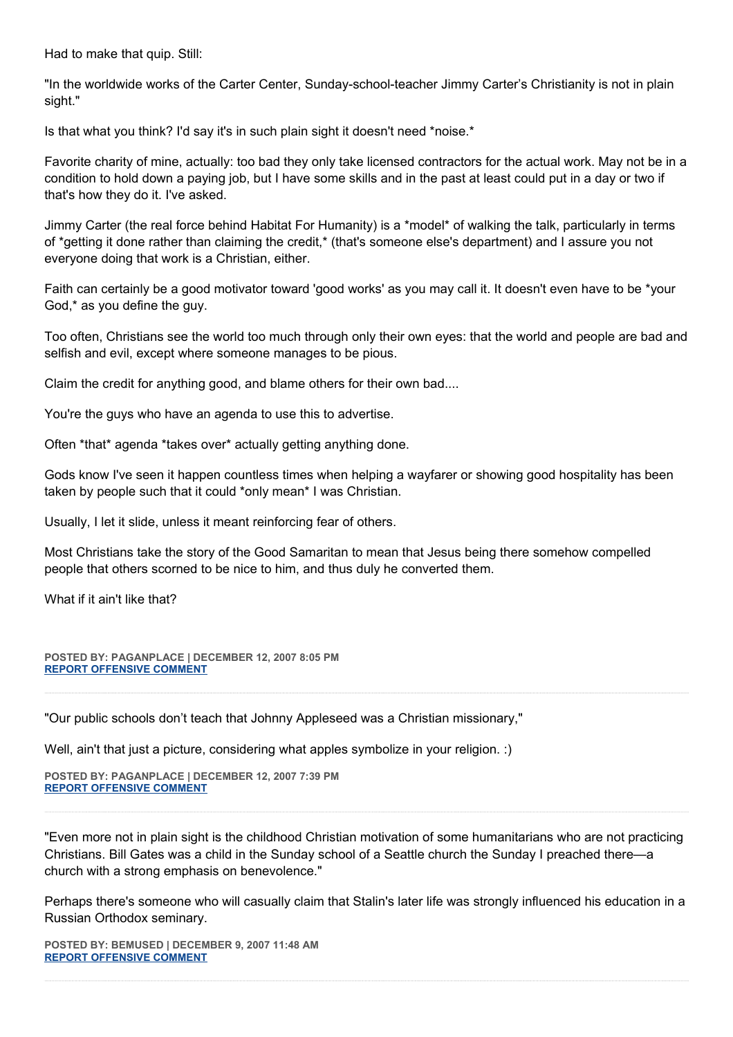Had to make that quip. Still:

"In the worldwide works of the Carter Center, Sunday-school-teacher Jimmy Carter's Christianity is not in plain sight."

Is that what you think? I'd say it's in such plain sight it doesn't need \*noise.\*

Favorite charity of mine, actually: too bad they only take licensed contractors for the actual work. May not be in a condition to hold down a paying job, but I have some skills and in the past at least could put in a day or two if that's how they do it. I've asked.

Jimmy Carter (the real force behind Habitat For Humanity) is a \*model\* of walking the talk, particularly in terms of \*getting it done rather than claiming the credit,\* (that's someone else's department) and I assure you not everyone doing that work is a Christian, either.

Faith can certainly be a good motivator toward 'good works' as you may call it. It doesn't even have to be \*your God,\* as you define the guy.

Too often, Christians see the world too much through only their own eyes: that the world and people are bad and selfish and evil, except where someone manages to be pious.

Claim the credit for anything good, and blame others for their own bad....

You're the guys who have an agenda to use this to advertise.

Often \*that\* agenda \*takes over\* actually getting anything done.

Gods know I've seen it happen countless times when helping a wayfarer or showing good hospitality has been taken by people such that it could \*only mean\* I was Christian.

Usually, I let it slide, unless it meant reinforcing fear of others.

Most Christians take the story of the Good Samaritan to mean that Jesus being there somehow compelled people that others scorned to be nice to him, and thus duly he converted them.

What if it ain't like that?

**POSTED BY: PAGANPLACE | DECEMBER 12, 2007 8:05 PM [REPORT OFFENSIVE COMMENT](mailto:blogs@washingtonpost.com?subject=On%20Faith%20Panelists%20Blog%20%20%7C%20%20Paganplace%20%20%7C%20%20Faith%20Turns%20Dreams%20into%20Deeds%20%20%7C%20%201883380&body=%0D%0D%0D%0D%0D================%0D?__mode=view%26_type=comment%26id=1883380%26blog_id=618)**

"Our public schools don't teach that Johnny Appleseed was a Christian missionary,"

Well, ain't that just a picture, considering what apples symbolize in your religion. :)

**POSTED BY: PAGANPLACE | DECEMBER 12, 2007 7:39 PM [REPORT OFFENSIVE COMMENT](mailto:blogs@washingtonpost.com?subject=On%20Faith%20Panelists%20Blog%20%20%7C%20%20Paganplace%20%20%7C%20%20Faith%20Turns%20Dreams%20into%20Deeds%20%20%7C%20%201883290&body=%0D%0D%0D%0D%0D================%0D?__mode=view%26_type=comment%26id=1883290%26blog_id=618)**

"Even more not in plain sight is the childhood Christian motivation of some humanitarians who are not practicing Christians. Bill Gates was a child in the Sunday school of a Seattle church the Sunday I preached there—a church with a strong emphasis on benevolence."

Perhaps there's someone who will casually claim that Stalin's later life was strongly influenced his education in a Russian Orthodox seminary.

**POSTED BY: BEMUSED | DECEMBER 9, 2007 11:48 AM [REPORT OFFENSIVE COMMENT](mailto:blogs@washingtonpost.com?subject=On%20Faith%20Panelists%20Blog%20%20%7C%20%20bemused%20%20%7C%20%20Faith%20Turns%20Dreams%20into%20Deeds%20%20%7C%20%201859749&body=%0D%0D%0D%0D%0D================%0D?__mode=view%26_type=comment%26id=1859749%26blog_id=618)**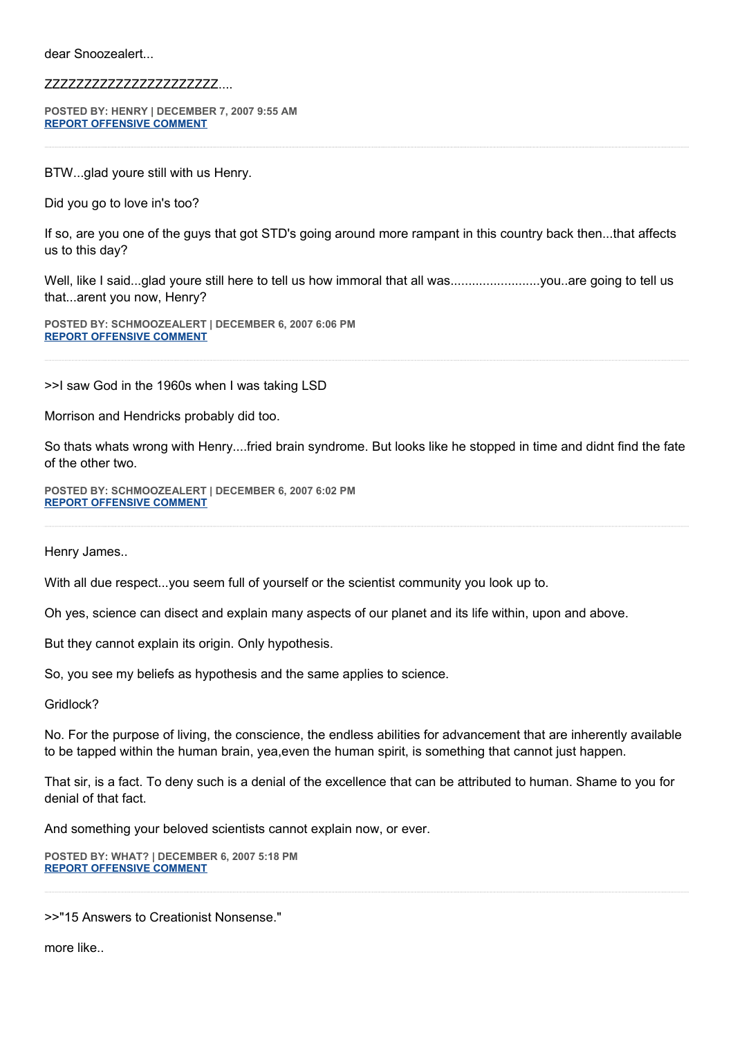dear Snoozealert...

#### ZZZZZZZZZZZZZZZZZZZZZZ....

**POSTED BY: HENRY | DECEMBER 7, 2007 9:55 AM [REPORT OFFENSIVE COMMENT](mailto:blogs@washingtonpost.com?subject=On%20Faith%20Panelists%20Blog%20%20%7C%20%20Henry%20%20%7C%20%20Faith%20Turns%20Dreams%20into%20Deeds%20%20%7C%20%201847852&body=%0D%0D%0D%0D%0D================%0D?__mode=view%26_type=comment%26id=1847852%26blog_id=618)**

BTW...glad youre still with us Henry.

Did you go to love in's too?

If so, are you one of the guys that got STD's going around more rampant in this country back then...that affects us to this day?

Well, like I said...glad youre still here to tell us how immoral that all was.............................you..are going to tell us that...arent you now, Henry?

**POSTED BY: SCHMOOZEALERT | DECEMBER 6, 2007 6:06 PM [REPORT OFFENSIVE COMMENT](mailto:blogs@washingtonpost.com?subject=On%20Faith%20Panelists%20Blog%20%20%7C%20%20SCHMOOZEALERT%20%20%7C%20%20Faith%20Turns%20Dreams%20into%20Deeds%20%20%7C%20%201844745&body=%0D%0D%0D%0D%0D================%0D?__mode=view%26_type=comment%26id=1844745%26blog_id=618)**

>>I saw God in the 1960s when I was taking LSD

Morrison and Hendricks probably did too.

So thats whats wrong with Henry....fried brain syndrome. But looks like he stopped in time and didnt find the fate of the other two.

**POSTED BY: SCHMOOZEALERT | DECEMBER 6, 2007 6:02 PM [REPORT OFFENSIVE COMMENT](mailto:blogs@washingtonpost.com?subject=On%20Faith%20Panelists%20Blog%20%20%7C%20%20SCHMOOZEALERT%20%20%7C%20%20Faith%20Turns%20Dreams%20into%20Deeds%20%20%7C%20%201844728&body=%0D%0D%0D%0D%0D================%0D?__mode=view%26_type=comment%26id=1844728%26blog_id=618)**

Henry James..

With all due respect...you seem full of yourself or the scientist community you look up to.

Oh yes, science can disect and explain many aspects of our planet and its life within, upon and above.

But they cannot explain its origin. Only hypothesis.

So, you see my beliefs as hypothesis and the same applies to science.

Gridlock?

No. For the purpose of living, the conscience, the endless abilities for advancement that are inherently available to be tapped within the human brain, yea,even the human spirit, is something that cannot just happen.

That sir, is a fact. To deny such is a denial of the excellence that can be attributed to human. Shame to you for denial of that fact.

And something your beloved scientists cannot explain now, or ever.

**POSTED BY: WHAT? | DECEMBER 6, 2007 5:18 PM [REPORT OFFENSIVE COMMENT](mailto:blogs@washingtonpost.com?subject=On%20Faith%20Panelists%20Blog%20%20%7C%20%20WHAT?%20%20%7C%20%20Faith%20Turns%20Dreams%20into%20Deeds%20%20%7C%20%201844570&body=%0D%0D%0D%0D%0D================%0D?__mode=view%26_type=comment%26id=1844570%26blog_id=618)**

>>"15 Answers to Creationist Nonsense."

more like..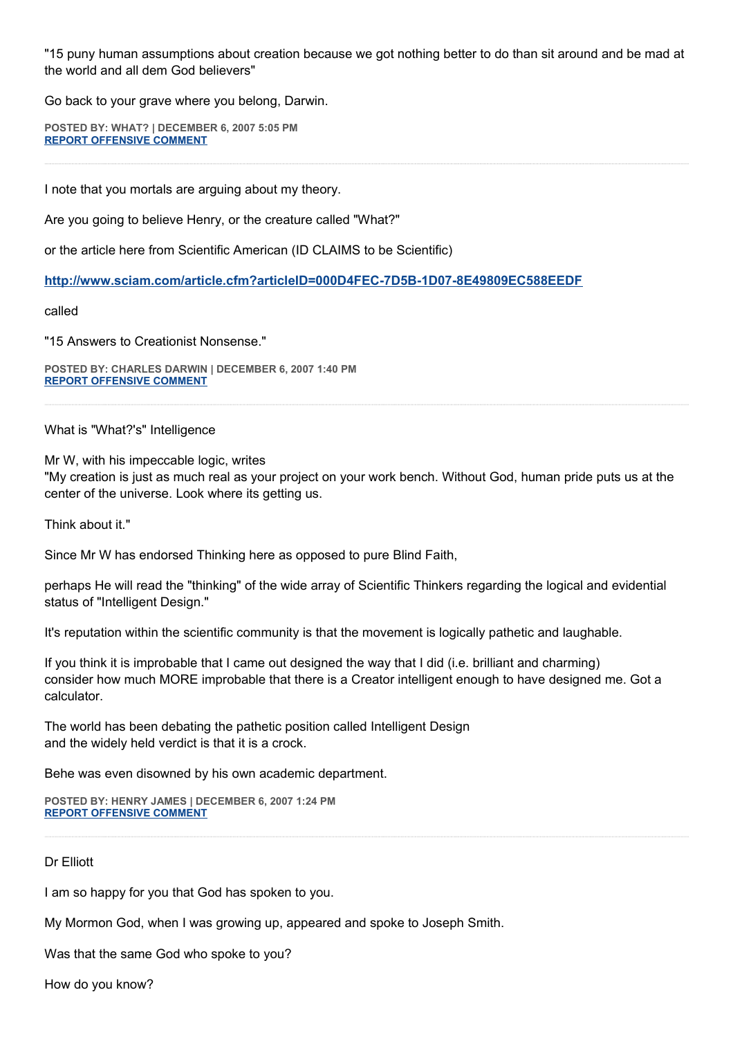"15 puny human assumptions about creation because we got nothing better to do than sit around and be mad at the world and all dem God believers"

Go back to your grave where you belong, Darwin.

**POSTED BY: WHAT? | DECEMBER 6, 2007 5:05 PM [REPORT OFFENSIVE COMMENT](mailto:blogs@washingtonpost.com?subject=On%20Faith%20Panelists%20Blog%20%20%7C%20%20WHAT?%20%20%7C%20%20Faith%20Turns%20Dreams%20into%20Deeds%20%20%7C%20%201844516&body=%0D%0D%0D%0D%0D================%0D?__mode=view%26_type=comment%26id=1844516%26blog_id=618)**

I note that you mortals are arguing about my theory.

Are you going to believe Henry, or the creature called "What?"

or the article here from Scientific American (ID CLAIMS to be Scientific)

**<http://www.sciam.com/article.cfm?articleID=000D4FEC-7D5B-1D07-8E49809EC588EEDF>**

#### called

"15 Answers to Creationist Nonsense."

**POSTED BY: CHARLES DARWIN | DECEMBER 6, 2007 1:40 PM [REPORT OFFENSIVE COMMENT](mailto:blogs@washingtonpost.com?subject=On%20Faith%20Panelists%20Blog%20%20%7C%20%20Charles%20Darwin%20%20%7C%20%20Faith%20Turns%20Dreams%20into%20Deeds%20%20%7C%20%201843626&body=%0D%0D%0D%0D%0D================%0D?__mode=view%26_type=comment%26id=1843626%26blog_id=618)**

What is "What?'s" Intelligence

Mr W, with his impeccable logic, writes

"My creation is just as much real as your project on your work bench. Without God, human pride puts us at the center of the universe. Look where its getting us.

Think about it."

Since Mr W has endorsed Thinking here as opposed to pure Blind Faith,

perhaps He will read the "thinking" of the wide array of Scientific Thinkers regarding the logical and evidential status of "Intelligent Design."

It's reputation within the scientific community is that the movement is logically pathetic and laughable.

If you think it is improbable that I came out designed the way that I did (i.e. brilliant and charming) consider how much MORE improbable that there is a Creator intelligent enough to have designed me. Got a calculator.

The world has been debating the pathetic position called Intelligent Design and the widely held verdict is that it is a crock.

Behe was even disowned by his own academic department.

**POSTED BY: HENRY JAMES | DECEMBER 6, 2007 1:24 PM [REPORT OFFENSIVE COMMENT](mailto:blogs@washingtonpost.com?subject=On%20Faith%20Panelists%20Blog%20%20%7C%20%20Henry%20James%20%20%7C%20%20Faith%20Turns%20Dreams%20into%20Deeds%20%20%7C%20%201843564&body=%0D%0D%0D%0D%0D================%0D?__mode=view%26_type=comment%26id=1843564%26blog_id=618)**

#### Dr Elliott

I am so happy for you that God has spoken to you.

My Mormon God, when I was growing up, appeared and spoke to Joseph Smith.

Was that the same God who spoke to you?

How do you know?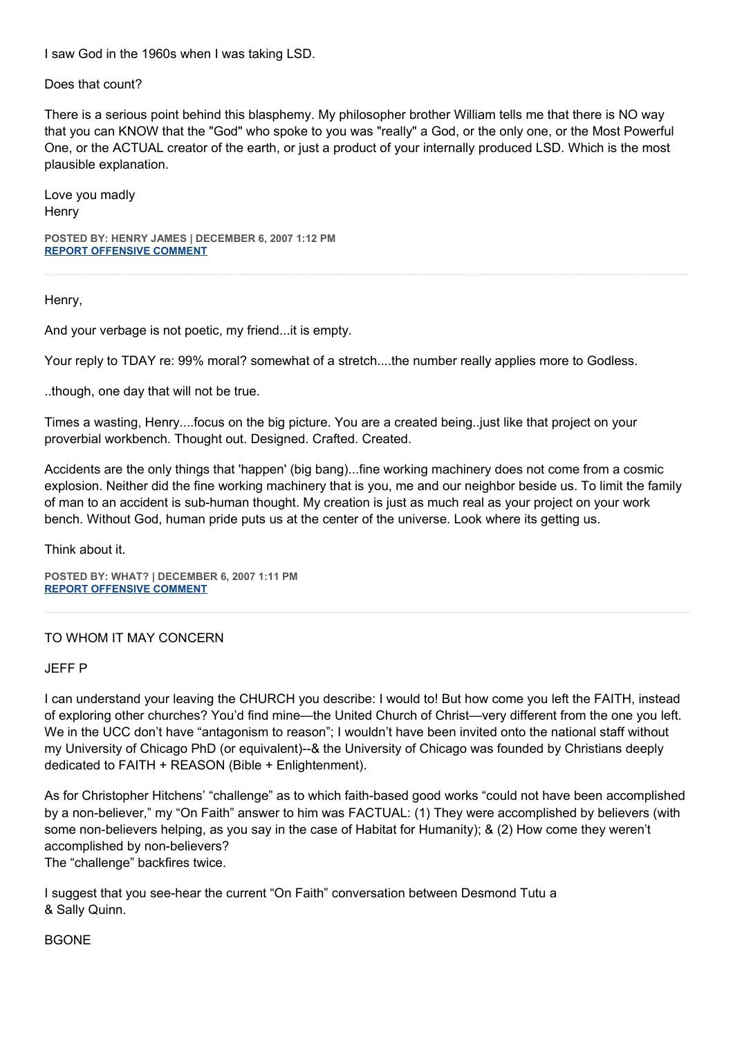I saw God in the 1960s when I was taking LSD.

Does that count?

There is a serious point behind this blasphemy. My philosopher brother William tells me that there is NO way that you can KNOW that the "God" who spoke to you was "really" a God, or the only one, or the Most Powerful One, or the ACTUAL creator of the earth, or just a product of your internally produced LSD. Which is the most plausible explanation.

Love you madly **Henry** 

**POSTED BY: HENRY JAMES | DECEMBER 6, 2007 1:12 PM [REPORT OFFENSIVE COMMENT](mailto:blogs@washingtonpost.com?subject=On%20Faith%20Panelists%20Blog%20%20%7C%20%20Henry%20James%20%20%7C%20%20Faith%20Turns%20Dreams%20into%20Deeds%20%20%7C%20%201843507&body=%0D%0D%0D%0D%0D================%0D?__mode=view%26_type=comment%26id=1843507%26blog_id=618)**

Henry,

And your verbage is not poetic, my friend...it is empty.

Your reply to TDAY re: 99% moral? somewhat of a stretch....the number really applies more to Godless.

..though, one day that will not be true.

Times a wasting, Henry....focus on the big picture. You are a created being..just like that project on your proverbial workbench. Thought out. Designed. Crafted. Created.

Accidents are the only things that 'happen' (big bang)...fine working machinery does not come from a cosmic explosion. Neither did the fine working machinery that is you, me and our neighbor beside us. To limit the family of man to an accident is sub-human thought. My creation is just as much real as your project on your work bench. Without God, human pride puts us at the center of the universe. Look where its getting us.

Think about it.

**POSTED BY: WHAT? | DECEMBER 6, 2007 1:11 PM [REPORT OFFENSIVE COMMENT](mailto:blogs@washingtonpost.com?subject=On%20Faith%20Panelists%20Blog%20%20%7C%20%20WHAT?%20%20%7C%20%20Faith%20Turns%20Dreams%20into%20Deeds%20%20%7C%20%201843503&body=%0D%0D%0D%0D%0D================%0D?__mode=view%26_type=comment%26id=1843503%26blog_id=618)**

#### TO WHOM IT MAY CONCERN

JEFF P

I can understand your leaving the CHURCH you describe: I would to! But how come you left the FAITH, instead of exploring other churches? You'd find mine—the United Church of Christ—very different from the one you left. We in the UCC don't have "antagonism to reason"; I wouldn't have been invited onto the national staff without my University of Chicago PhD (or equivalent)--& the University of Chicago was founded by Christians deeply dedicated to FAITH + REASON (Bible + Enlightenment).

As for Christopher Hitchens' "challenge" as to which faith-based good works "could not have been accomplished by a non-believer," my "On Faith" answer to him was FACTUAL: (1) They were accomplished by believers (with some non-believers helping, as you say in the case of Habitat for Humanity); & (2) How come they weren't accomplished by non-believers?

The "challenge" backfires twice.

I suggest that you see-hear the current "On Faith" conversation between Desmond Tutu a & Sally Quinn.

**BGONE**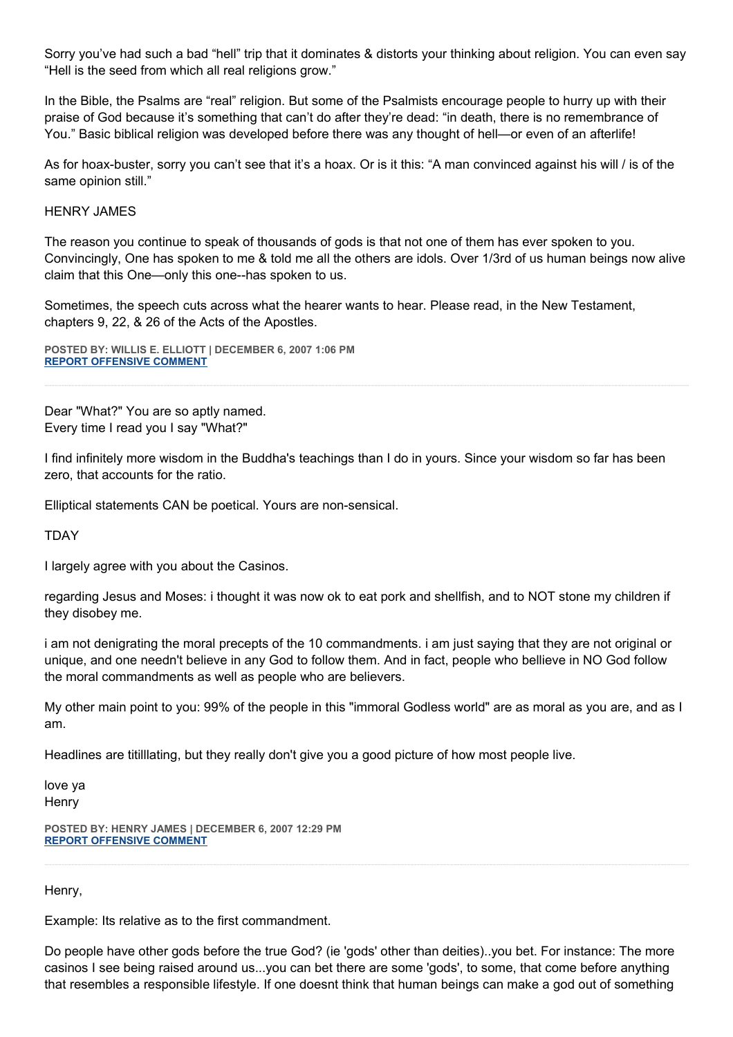Sorry you've had such a bad "hell" trip that it dominates & distorts your thinking about religion. You can even say "Hell is the seed from which all real religions grow."

In the Bible, the Psalms are "real" religion. But some of the Psalmists encourage people to hurry up with their praise of God because it's something that can't do after they're dead: "in death, there is no remembrance of You." Basic biblical religion was developed before there was any thought of hell—or even of an afterlife!

As for hoax-buster, sorry you can't see that it's a hoax. Or is it this: "A man convinced against his will / is of the same opinion still."

## HENRY JAMES

The reason you continue to speak of thousands of gods is that not one of them has ever spoken to you. Convincingly, One has spoken to me & told me all the others are idols. Over 1/3rd of us human beings now alive claim that this One—only this one--has spoken to us.

Sometimes, the speech cuts across what the hearer wants to hear. Please read, in the New Testament, chapters 9, 22, & 26 of the Acts of the Apostles.

**POSTED BY: WILLIS E. ELLIOTT | DECEMBER 6, 2007 1:06 PM [REPORT OFFENSIVE COMMENT](mailto:blogs@washingtonpost.com?subject=On%20Faith%20Panelists%20Blog%20%20%7C%20%20Willis%20E.%20Elliott%20%20%7C%20%20Faith%20Turns%20Dreams%20into%20Deeds%20%20%7C%20%201843476&body=%0D%0D%0D%0D%0D================%0D?__mode=view%26_type=comment%26id=1843476%26blog_id=618)**

Dear "What?" You are so aptly named. Every time I read you I say "What?"

I find infinitely more wisdom in the Buddha's teachings than I do in yours. Since your wisdom so far has been zero, that accounts for the ratio.

Elliptical statements CAN be poetical. Yours are non-sensical.

**TDAY** 

I largely agree with you about the Casinos.

regarding Jesus and Moses: i thought it was now ok to eat pork and shellfish, and to NOT stone my children if they disobey me.

i am not denigrating the moral precepts of the 10 commandments. i am just saying that they are not original or unique, and one needn't believe in any God to follow them. And in fact, people who bellieve in NO God follow the moral commandments as well as people who are believers.

My other main point to you: 99% of the people in this "immoral Godless world" are as moral as you are, and as I am.

Headlines are titilllating, but they really don't give you a good picture of how most people live.

love ya **Henry** 

**POSTED BY: HENRY JAMES | DECEMBER 6, 2007 12:29 PM [REPORT OFFENSIVE COMMENT](mailto:blogs@washingtonpost.com?subject=On%20Faith%20Panelists%20Blog%20%20%7C%20%20Henry%20James%20%20%7C%20%20Faith%20Turns%20Dreams%20into%20Deeds%20%20%7C%20%201843358&body=%0D%0D%0D%0D%0D================%0D?__mode=view%26_type=comment%26id=1843358%26blog_id=618)**

Henry,

Example: Its relative as to the first commandment.

Do people have other gods before the true God? (ie 'gods' other than deities)..you bet. For instance: The more casinos I see being raised around us...you can bet there are some 'gods', to some, that come before anything that resembles a responsible lifestyle. If one doesnt think that human beings can make a god out of something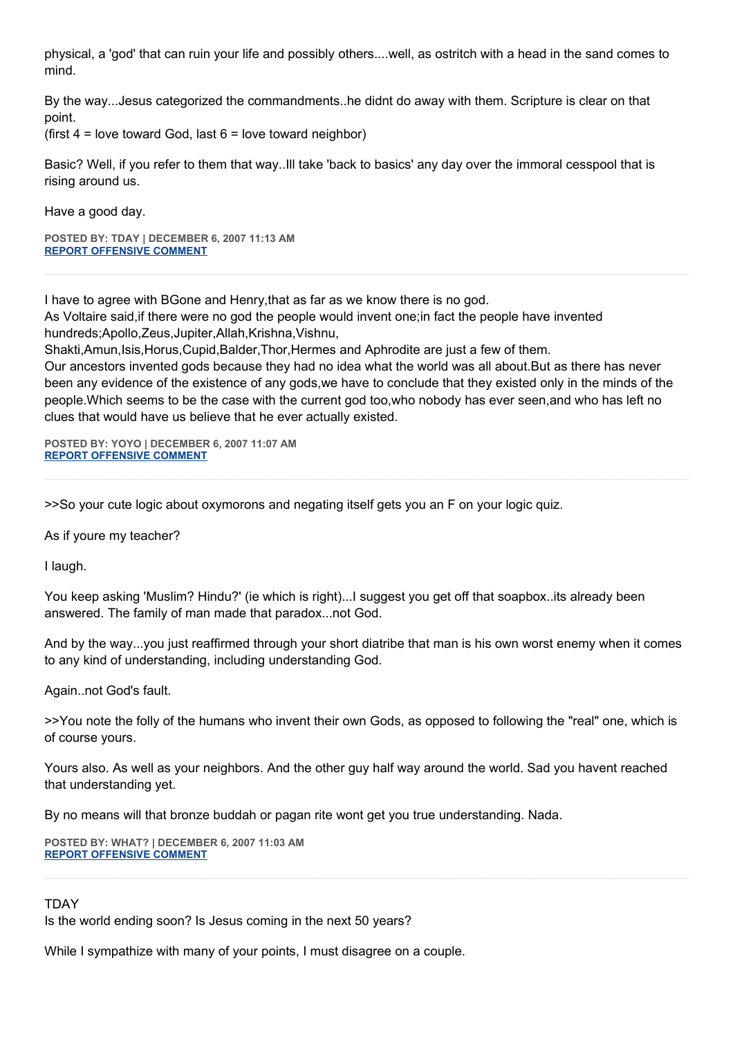physical, a 'god' that can ruin your life and possibly others....well, as ostritch with a head in the sand comes to mind.

By the way...Jesus categorized the commandments..he didnt do away with them. Scripture is clear on that point.

(first  $4 =$  love toward God, last  $6 =$  love toward neighbor)

Basic? Well, if you refer to them that way..Ill take 'back to basics' any day over the immoral cesspool that is rising around us.

Have a good day.

**POSTED BY: TDAY | DECEMBER 6, 2007 11:13 AM [REPORT OFFENSIVE COMMENT](mailto:blogs@washingtonpost.com?subject=On%20Faith%20Panelists%20Blog%20%20%7C%20%20TDAY%20%20%7C%20%20Faith%20Turns%20Dreams%20into%20Deeds%20%20%7C%20%201843107&body=%0D%0D%0D%0D%0D================%0D?__mode=view%26_type=comment%26id=1843107%26blog_id=618)**

I have to agree with BGone and Henry,that as far as we know there is no god. As Voltaire said,if there were no god the people would invent one;in fact the people have invented hundreds;Apollo,Zeus,Jupiter,Allah,Krishna,Vishnu,

Shakti,Amun,Isis,Horus,Cupid,Balder,Thor,Hermes and Aphrodite are just a few of them.

Our ancestors invented gods because they had no idea what the world was all about.But as there has never been any evidence of the existence of any gods,we have to conclude that they existed only in the minds of the people.Which seems to be the case with the current god too,who nobody has ever seen,and who has left no clues that would have us believe that he ever actually existed.

**POSTED BY: YOYO | DECEMBER 6, 2007 11:07 AM [REPORT OFFENSIVE COMMENT](mailto:blogs@washingtonpost.com?subject=On%20Faith%20Panelists%20Blog%20%20%7C%20%20yoyo%20%20%7C%20%20Faith%20Turns%20Dreams%20into%20Deeds%20%20%7C%20%201843085&body=%0D%0D%0D%0D%0D================%0D?__mode=view%26_type=comment%26id=1843085%26blog_id=618)**

>>So your cute logic about oxymorons and negating itself gets you an F on your logic quiz.

As if youre my teacher?

I laugh.

You keep asking 'Muslim? Hindu?' (ie which is right)...I suggest you get off that soapbox..its already been answered. The family of man made that paradox...not God.

And by the way...you just reaffirmed through your short diatribe that man is his own worst enemy when it comes to any kind of understanding, including understanding God.

Again..not God's fault.

>>You note the folly of the humans who invent their own Gods, as opposed to following the "real" one, which is of course yours.

Yours also. As well as your neighbors. And the other guy half way around the world. Sad you havent reached that understanding yet.

By no means will that bronze buddah or pagan rite wont get you true understanding. Nada.

**POSTED BY: WHAT? | DECEMBER 6, 2007 11:03 AM [REPORT OFFENSIVE COMMENT](mailto:blogs@washingtonpost.com?subject=On%20Faith%20Panelists%20Blog%20%20%7C%20%20WHAT?%20%20%7C%20%20Faith%20Turns%20Dreams%20into%20Deeds%20%20%7C%20%201843069&body=%0D%0D%0D%0D%0D================%0D?__mode=view%26_type=comment%26id=1843069%26blog_id=618)**

## TDAY

Is the world ending soon? Is Jesus coming in the next 50 years?

While I sympathize with many of your points, I must disagree on a couple.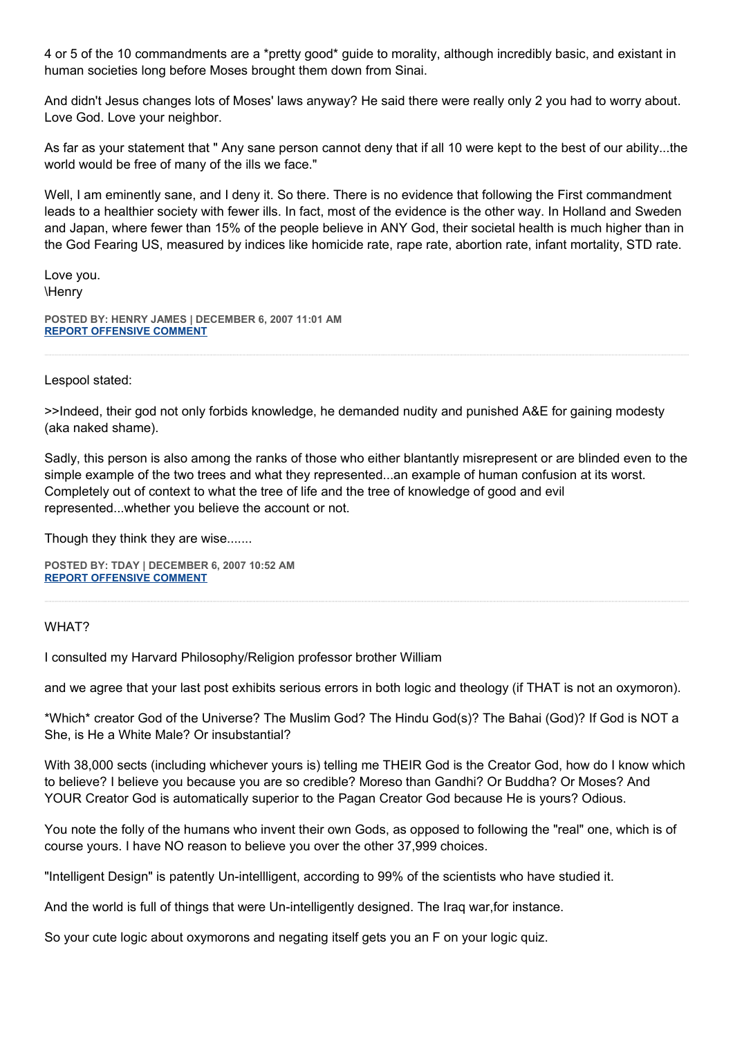4 or 5 of the 10 commandments are a \*pretty good\* guide to morality, although incredibly basic, and existant in human societies long before Moses brought them down from Sinai.

And didn't Jesus changes lots of Moses' laws anyway? He said there were really only 2 you had to worry about. Love God. Love your neighbor.

As far as your statement that " Any sane person cannot deny that if all 10 were kept to the best of our ability...the world would be free of many of the ills we face."

Well, I am eminently sane, and I deny it. So there. There is no evidence that following the First commandment leads to a healthier society with fewer ills. In fact, most of the evidence is the other way. In Holland and Sweden and Japan, where fewer than 15% of the people believe in ANY God, their societal health is much higher than in the God Fearing US, measured by indices like homicide rate, rape rate, abortion rate, infant mortality, STD rate.

Love you. \Henry

**POSTED BY: HENRY JAMES | DECEMBER 6, 2007 11:01 AM [REPORT OFFENSIVE COMMENT](mailto:blogs@washingtonpost.com?subject=On%20Faith%20Panelists%20Blog%20%20%7C%20%20Henry%20James%20%20%20%7C%20%20Faith%20Turns%20Dreams%20into%20Deeds%20%20%7C%20%201843060&body=%0D%0D%0D%0D%0D================%0D?__mode=view%26_type=comment%26id=1843060%26blog_id=618)**

Lespool stated:

>>Indeed, their god not only forbids knowledge, he demanded nudity and punished A&E for gaining modesty (aka naked shame).

Sadly, this person is also among the ranks of those who either blantantly misrepresent or are blinded even to the simple example of the two trees and what they represented...an example of human confusion at its worst. Completely out of context to what the tree of life and the tree of knowledge of good and evil represented...whether you believe the account or not.

Though they think they are wise.......

**POSTED BY: TDAY | DECEMBER 6, 2007 10:52 AM [REPORT OFFENSIVE COMMENT](mailto:blogs@washingtonpost.com?subject=On%20Faith%20Panelists%20Blog%20%20%7C%20%20TDAY%20%20%7C%20%20Faith%20Turns%20Dreams%20into%20Deeds%20%20%7C%20%201843034&body=%0D%0D%0D%0D%0D================%0D?__mode=view%26_type=comment%26id=1843034%26blog_id=618)**

### WHAT?

I consulted my Harvard Philosophy/Religion professor brother William

and we agree that your last post exhibits serious errors in both logic and theology (if THAT is not an oxymoron).

\*Which\* creator God of the Universe? The Muslim God? The Hindu God(s)? The Bahai (God)? If God is NOT a She, is He a White Male? Or insubstantial?

With 38,000 sects (including whichever yours is) telling me THEIR God is the Creator God, how do I know which to believe? I believe you because you are so credible? Moreso than Gandhi? Or Buddha? Or Moses? And YOUR Creator God is automatically superior to the Pagan Creator God because He is yours? Odious.

You note the folly of the humans who invent their own Gods, as opposed to following the "real" one, which is of course yours. I have NO reason to believe you over the other 37,999 choices.

"Intelligent Design" is patently Un-intellligent, according to 99% of the scientists who have studied it.

And the world is full of things that were Un-intelligently designed. The Iraq war,for instance.

So your cute logic about oxymorons and negating itself gets you an F on your logic quiz.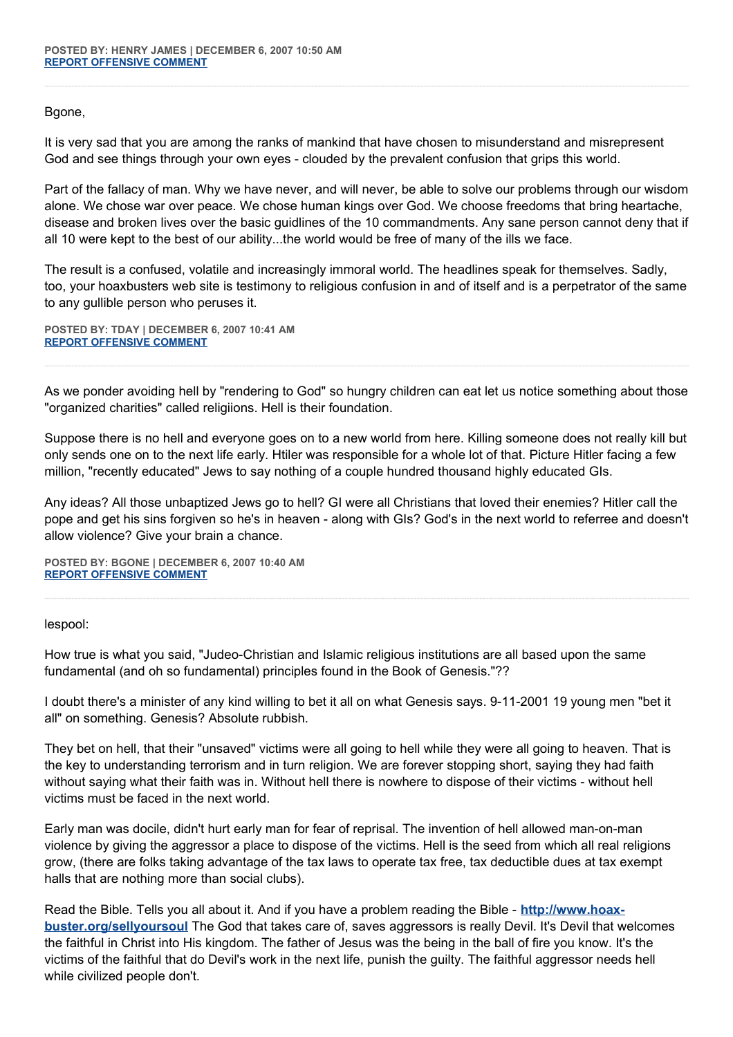Bgone,

It is very sad that you are among the ranks of mankind that have chosen to misunderstand and misrepresent God and see things through your own eyes - clouded by the prevalent confusion that grips this world.

Part of the fallacy of man. Why we have never, and will never, be able to solve our problems through our wisdom alone. We chose war over peace. We chose human kings over God. We choose freedoms that bring heartache, disease and broken lives over the basic guidlines of the 10 commandments. Any sane person cannot deny that if all 10 were kept to the best of our ability...the world would be free of many of the ills we face.

The result is a confused, volatile and increasingly immoral world. The headlines speak for themselves. Sadly, too, your hoaxbusters web site is testimony to religious confusion in and of itself and is a perpetrator of the same to any gullible person who peruses it.

**POSTED BY: TDAY | DECEMBER 6, 2007 10:41 AM [REPORT OFFENSIVE COMMENT](mailto:blogs@washingtonpost.com?subject=On%20Faith%20Panelists%20Blog%20%20%7C%20%20TDAY%20%20%7C%20%20Faith%20Turns%20Dreams%20into%20Deeds%20%20%7C%20%201843006&body=%0D%0D%0D%0D%0D================%0D?__mode=view%26_type=comment%26id=1843006%26blog_id=618)**

As we ponder avoiding hell by "rendering to God" so hungry children can eat let us notice something about those "organized charities" called religiions. Hell is their foundation.

Suppose there is no hell and everyone goes on to a new world from here. Killing someone does not really kill but only sends one on to the next life early. Htiler was responsible for a whole lot of that. Picture Hitler facing a few million, "recently educated" Jews to say nothing of a couple hundred thousand highly educated GIs.

Any ideas? All those unbaptized Jews go to hell? GI were all Christians that loved their enemies? Hitler call the pope and get his sins forgiven so he's in heaven - along with GIs? God's in the next world to referree and doesn't allow violence? Give your brain a chance.

**POSTED BY: BGONE | DECEMBER 6, 2007 10:40 AM [REPORT OFFENSIVE COMMENT](mailto:blogs@washingtonpost.com?subject=On%20Faith%20Panelists%20Blog%20%20%7C%20%20BGone%20%20%7C%20%20Faith%20Turns%20Dreams%20into%20Deeds%20%20%7C%20%201843002&body=%0D%0D%0D%0D%0D================%0D?__mode=view%26_type=comment%26id=1843002%26blog_id=618)**

lespool:

How true is what you said, "Judeo-Christian and Islamic religious institutions are all based upon the same fundamental (and oh so fundamental) principles found in the Book of Genesis."??

I doubt there's a minister of any kind willing to bet it all on what Genesis says. 9-11-2001 19 young men "bet it all" on something. Genesis? Absolute rubbish.

They bet on hell, that their "unsaved" victims were all going to hell while they were all going to heaven. That is the key to understanding terrorism and in turn religion. We are forever stopping short, saying they had faith without saying what their faith was in. Without hell there is nowhere to dispose of their victims - without hell victims must be faced in the next world.

Early man was docile, didn't hurt early man for fear of reprisal. The invention of hell allowed man-on-man violence by giving the aggressor a place to dispose of the victims. Hell is the seed from which all real religions grow, (there are folks taking advantage of the tax laws to operate tax free, tax deductible dues at tax exempt halls that are nothing more than social clubs).

Read the Bible. Tells you all about it. And if you have a problem reading the Bible - **[http://www.hoax](http://www.hoax-buster.org/sellyoursoul)[buster.org/sellyoursoul](http://www.hoax-buster.org/sellyoursoul)** The God that takes care of, saves aggressors is really Devil. It's Devil that welcomes the faithful in Christ into His kingdom. The father of Jesus was the being in the ball of fire you know. It's the victims of the faithful that do Devil's work in the next life, punish the guilty. The faithful aggressor needs hell while civilized people don't.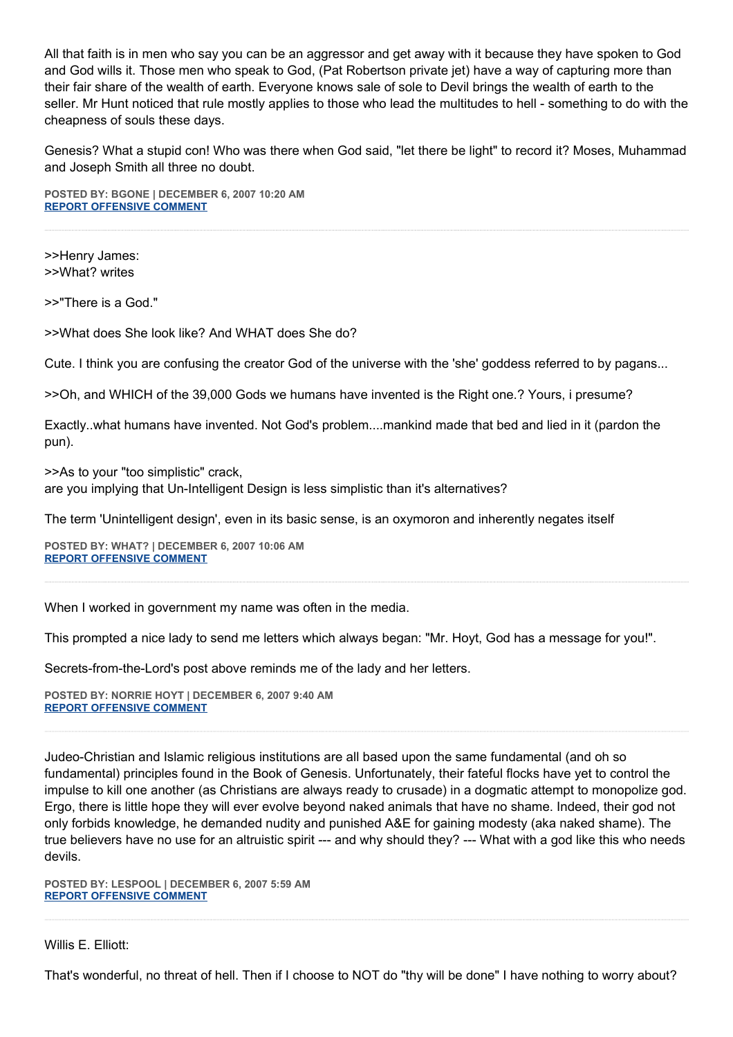All that faith is in men who say you can be an aggressor and get away with it because they have spoken to God and God wills it. Those men who speak to God, (Pat Robertson private jet) have a way of capturing more than their fair share of the wealth of earth. Everyone knows sale of sole to Devil brings the wealth of earth to the seller. Mr Hunt noticed that rule mostly applies to those who lead the multitudes to hell - something to do with the cheapness of souls these days.

Genesis? What a stupid con! Who was there when God said, "let there be light" to record it? Moses, Muhammad and Joseph Smith all three no doubt.

**POSTED BY: BGONE | DECEMBER 6, 2007 10:20 AM [REPORT OFFENSIVE COMMENT](mailto:blogs@washingtonpost.com?subject=On%20Faith%20Panelists%20Blog%20%20%7C%20%20BGone%20%20%7C%20%20Faith%20Turns%20Dreams%20into%20Deeds%20%20%7C%20%201842929&body=%0D%0D%0D%0D%0D================%0D?__mode=view%26_type=comment%26id=1842929%26blog_id=618)**

>>Henry James: >>What? writes

>>"There is a God."

>>What does She look like? And WHAT does She do?

Cute. I think you are confusing the creator God of the universe with the 'she' goddess referred to by pagans...

>>Oh, and WHICH of the 39,000 Gods we humans have invented is the Right one.? Yours, i presume?

Exactly..what humans have invented. Not God's problem....mankind made that bed and lied in it (pardon the pun).

>>As to your "too simplistic" crack, are you implying that Un-Intelligent Design is less simplistic than it's alternatives?

The term 'Unintelligent design', even in its basic sense, is an oxymoron and inherently negates itself

**POSTED BY: WHAT? | DECEMBER 6, 2007 10:06 AM [REPORT OFFENSIVE COMMENT](mailto:blogs@washingtonpost.com?subject=On%20Faith%20Panelists%20Blog%20%20%7C%20%20WHAT?%20%20%7C%20%20Faith%20Turns%20Dreams%20into%20Deeds%20%20%7C%20%201842881&body=%0D%0D%0D%0D%0D================%0D?__mode=view%26_type=comment%26id=1842881%26blog_id=618)**

When I worked in government my name was often in the media.

This prompted a nice lady to send me letters which always began: "Mr. Hoyt, God has a message for you!".

Secrets-from-the-Lord's post above reminds me of the lady and her letters.

**POSTED BY: NORRIE HOYT | DECEMBER 6, 2007 9:40 AM [REPORT OFFENSIVE COMMENT](mailto:blogs@washingtonpost.com?subject=On%20Faith%20Panelists%20Blog%20%20%7C%20%20Norrie%20Hoyt%20%20%7C%20%20Faith%20Turns%20Dreams%20into%20Deeds%20%20%7C%20%201842768&body=%0D%0D%0D%0D%0D================%0D?__mode=view%26_type=comment%26id=1842768%26blog_id=618)**

Judeo-Christian and Islamic religious institutions are all based upon the same fundamental (and oh so fundamental) principles found in the Book of Genesis. Unfortunately, their fateful flocks have yet to control the impulse to kill one another (as Christians are always ready to crusade) in a dogmatic attempt to monopolize god. Ergo, there is little hope they will ever evolve beyond naked animals that have no shame. Indeed, their god not only forbids knowledge, he demanded nudity and punished A&E for gaining modesty (aka naked shame). The true believers have no use for an altruistic spirit --- and why should they? --- What with a god like this who needs devils.

**POSTED BY: LESPOOL | DECEMBER 6, 2007 5:59 AM [REPORT OFFENSIVE COMMENT](mailto:blogs@washingtonpost.com?subject=On%20Faith%20Panelists%20Blog%20%20%7C%20%20lespool%20%20%7C%20%20Faith%20Turns%20Dreams%20into%20Deeds%20%20%7C%20%201842021&body=%0D%0D%0D%0D%0D================%0D?__mode=view%26_type=comment%26id=1842021%26blog_id=618)**

Willis E. Elliott:

That's wonderful, no threat of hell. Then if I choose to NOT do "thy will be done" I have nothing to worry about?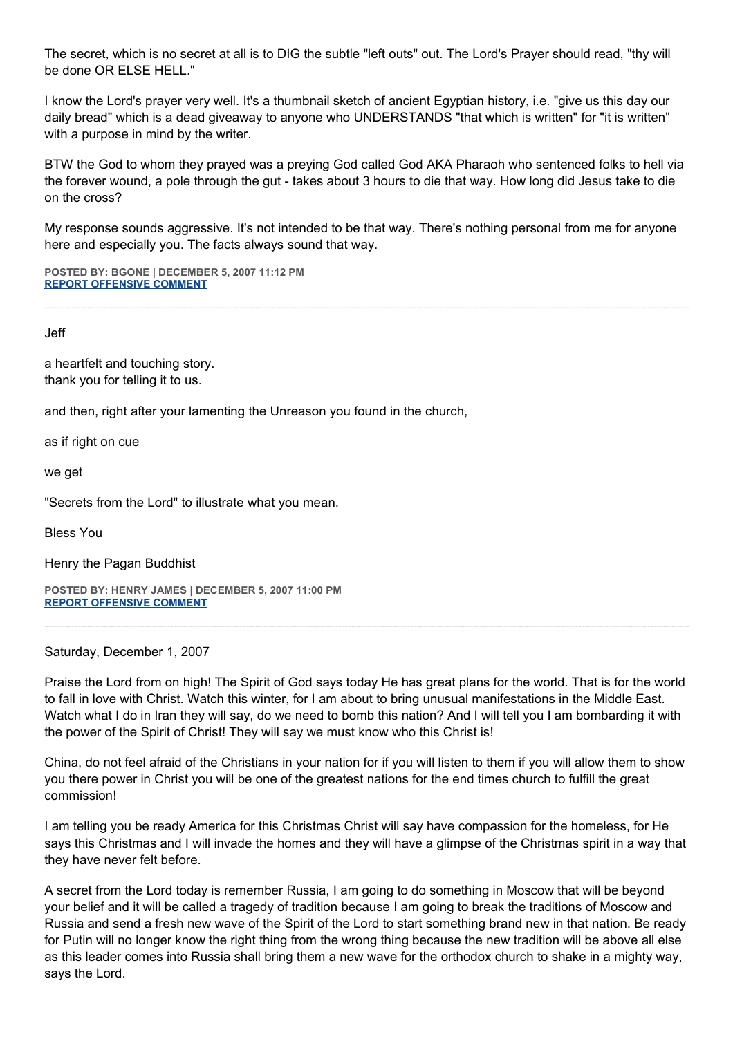The secret, which is no secret at all is to DIG the subtle "left outs" out. The Lord's Prayer should read, "thy will be done OR ELSE HELL."

I know the Lord's prayer very well. It's a thumbnail sketch of ancient Egyptian history, i.e. "give us this day our daily bread" which is a dead giveaway to anyone who UNDERSTANDS "that which is written" for "it is written" with a purpose in mind by the writer.

BTW the God to whom they prayed was a preying God called God AKA Pharaoh who sentenced folks to hell via the forever wound, a pole through the gut - takes about 3 hours to die that way. How long did Jesus take to die on the cross?

My response sounds aggressive. It's not intended to be that way. There's nothing personal from me for anyone here and especially you. The facts always sound that way.

**POSTED BY: BGONE | DECEMBER 5, 2007 11:12 PM [REPORT OFFENSIVE COMMENT](mailto:blogs@washingtonpost.com?subject=On%20Faith%20Panelists%20Blog%20%20%7C%20%20BGone%20%20%7C%20%20Faith%20Turns%20Dreams%20into%20Deeds%20%20%7C%20%201840592&body=%0D%0D%0D%0D%0D================%0D?__mode=view%26_type=comment%26id=1840592%26blog_id=618)**

Jeff

a heartfelt and touching story. thank you for telling it to us.

and then, right after your lamenting the Unreason you found in the church,

as if right on cue

we get

"Secrets from the Lord" to illustrate what you mean.

Bless You

Henry the Pagan Buddhist

**POSTED BY: HENRY JAMES | DECEMBER 5, 2007 11:00 PM [REPORT OFFENSIVE COMMENT](mailto:blogs@washingtonpost.com?subject=On%20Faith%20Panelists%20Blog%20%20%7C%20%20Henry%20James%20%20%7C%20%20Faith%20Turns%20Dreams%20into%20Deeds%20%20%7C%20%201840552&body=%0D%0D%0D%0D%0D================%0D?__mode=view%26_type=comment%26id=1840552%26blog_id=618)**

Saturday, December 1, 2007

Praise the Lord from on high! The Spirit of God says today He has great plans for the world. That is for the world to fall in love with Christ. Watch this winter, for I am about to bring unusual manifestations in the Middle East. Watch what I do in Iran they will say, do we need to bomb this nation? And I will tell you I am bombarding it with the power of the Spirit of Christ! They will say we must know who this Christ is!

China, do not feel afraid of the Christians in your nation for if you will listen to them if you will allow them to show you there power in Christ you will be one of the greatest nations for the end times church to fulfill the great commission!

I am telling you be ready America for this Christmas Christ will say have compassion for the homeless, for He says this Christmas and I will invade the homes and they will have a glimpse of the Christmas spirit in a way that they have never felt before.

A secret from the Lord today is remember Russia, I am going to do something in Moscow that will be beyond your belief and it will be called a tragedy of tradition because I am going to break the traditions of Moscow and Russia and send a fresh new wave of the Spirit of the Lord to start something brand new in that nation. Be ready for Putin will no longer know the right thing from the wrong thing because the new tradition will be above all else as this leader comes into Russia shall bring them a new wave for the orthodox church to shake in a mighty way, says the Lord.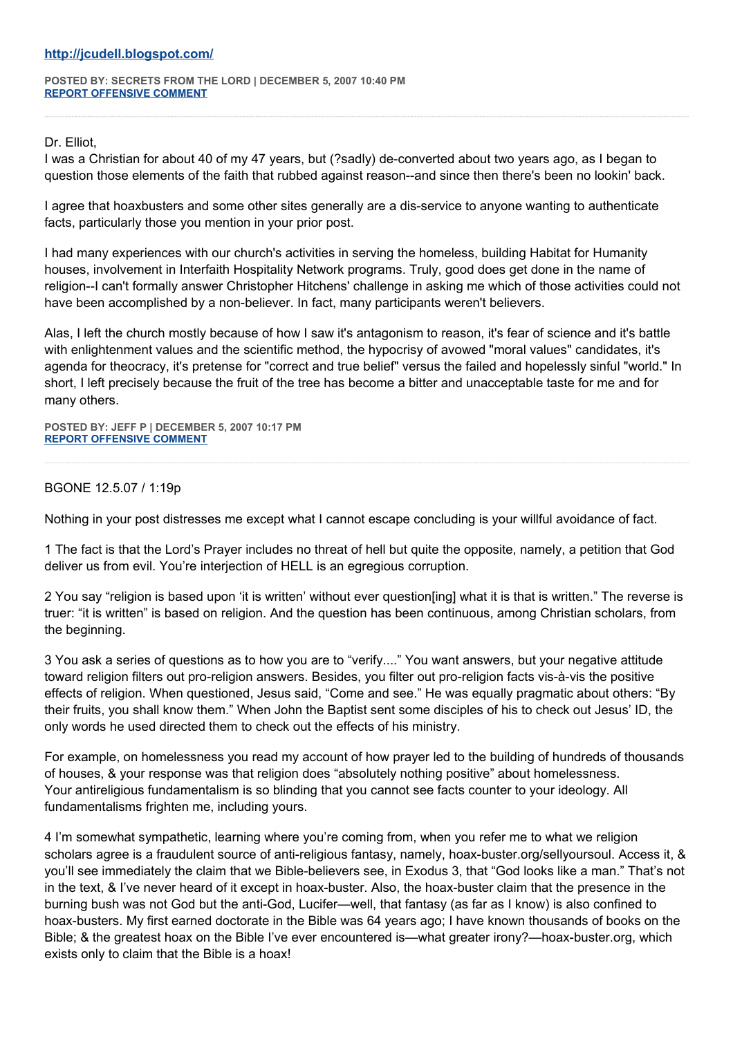**POSTED BY: SECRETS FROM THE LORD | DECEMBER 5, 2007 10:40 PM [REPORT OFFENSIVE COMMENT](mailto:blogs@washingtonpost.com?subject=On%20Faith%20Panelists%20Blog%20%20%7C%20%20Secrets%20from%20the%20Lord%20%20%7C%20%20Faith%20Turns%20Dreams%20into%20Deeds%20%20%7C%20%201840491&body=%0D%0D%0D%0D%0D================%0D?__mode=view%26_type=comment%26id=1840491%26blog_id=618)**

Dr. Elliot,

I was a Christian for about 40 of my 47 years, but (?sadly) de-converted about two years ago, as I began to question those elements of the faith that rubbed against reason--and since then there's been no lookin' back.

I agree that hoaxbusters and some other sites generally are a dis-service to anyone wanting to authenticate facts, particularly those you mention in your prior post.

I had many experiences with our church's activities in serving the homeless, building Habitat for Humanity houses, involvement in Interfaith Hospitality Network programs. Truly, good does get done in the name of religion--I can't formally answer Christopher Hitchens' challenge in asking me which of those activities could not have been accomplished by a non-believer. In fact, many participants weren't believers.

Alas, I left the church mostly because of how I saw it's antagonism to reason, it's fear of science and it's battle with enlightenment values and the scientific method, the hypocrisy of avowed "moral values" candidates, it's agenda for theocracy, it's pretense for "correct and true belief" versus the failed and hopelessly sinful "world." In short, I left precisely because the fruit of the tree has become a bitter and unacceptable taste for me and for many others.

**POSTED BY: JEFF P | DECEMBER 5, 2007 10:17 PM [REPORT OFFENSIVE COMMENT](mailto:blogs@washingtonpost.com?subject=On%20Faith%20Panelists%20Blog%20%20%7C%20%20Jeff%20P%20%20%7C%20%20Faith%20Turns%20Dreams%20into%20Deeds%20%20%7C%20%201840408&body=%0D%0D%0D%0D%0D================%0D?__mode=view%26_type=comment%26id=1840408%26blog_id=618)**

## BGONE 12.5.07 / 1:19p

Nothing in your post distresses me except what I cannot escape concluding is your willful avoidance of fact.

1 The fact is that the Lord's Prayer includes no threat of hell but quite the opposite, namely, a petition that God deliver us from evil. You're interjection of HELL is an egregious corruption.

2 You say "religion is based upon 'it is written' without ever question[ing] what it is that is written." The reverse is truer: "it is written" is based on religion. And the question has been continuous, among Christian scholars, from the beginning.

3 You ask a series of questions as to how you are to "verify...." You want answers, but your negative attitude toward religion filters out pro-religion answers. Besides, you filter out pro-religion facts vis-à-vis the positive effects of religion. When questioned, Jesus said, "Come and see." He was equally pragmatic about others: "By their fruits, you shall know them." When John the Baptist sent some disciples of his to check out Jesus' ID, the only words he used directed them to check out the effects of his ministry.

For example, on homelessness you read my account of how prayer led to the building of hundreds of thousands of houses, & your response was that religion does "absolutely nothing positive" about homelessness. Your antireligious fundamentalism is so blinding that you cannot see facts counter to your ideology. All fundamentalisms frighten me, including yours.

4 I'm somewhat sympathetic, learning where you're coming from, when you refer me to what we religion scholars agree is a fraudulent source of anti-religious fantasy, namely, hoax-buster.org/sellyoursoul. Access it, & you'll see immediately the claim that we Bible-believers see, in Exodus 3, that "God looks like a man." That's not in the text, & I've never heard of it except in hoax-buster. Also, the hoax-buster claim that the presence in the burning bush was not God but the anti-God, Lucifer—well, that fantasy (as far as I know) is also confined to hoax-busters. My first earned doctorate in the Bible was 64 years ago; I have known thousands of books on the Bible; & the greatest hoax on the Bible I've ever encountered is—what greater irony?—hoax-buster.org, which exists only to claim that the Bible is a hoax!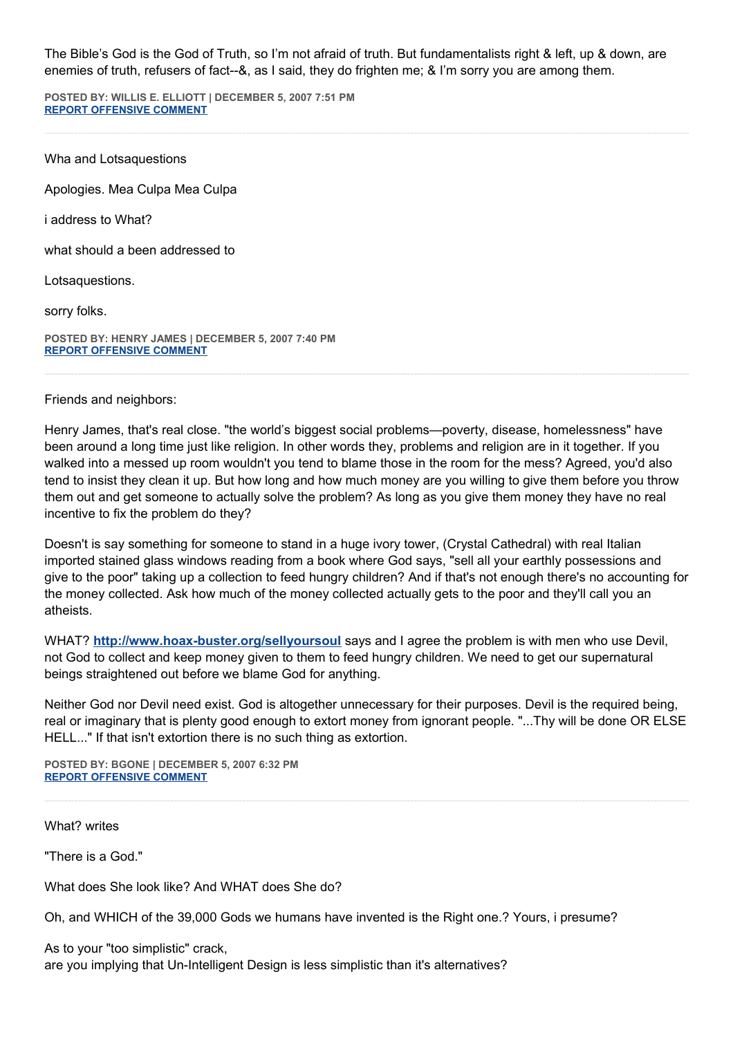The Bible's God is the God of Truth, so I'm not afraid of truth. But fundamentalists right & left, up & down, are enemies of truth, refusers of fact--&, as I said, they do frighten me; & I'm sorry you are among them.

**POSTED BY: WILLIS E. ELLIOTT | DECEMBER 5, 2007 7:51 PM [REPORT OFFENSIVE COMMENT](mailto:blogs@washingtonpost.com?subject=On%20Faith%20Panelists%20Blog%20%20%7C%20%20Willis%20E.%20Elliott%20%20%7C%20%20Faith%20Turns%20Dreams%20into%20Deeds%20%20%7C%20%201839817&body=%0D%0D%0D%0D%0D================%0D?__mode=view%26_type=comment%26id=1839817%26blog_id=618)**

Wha and Lotsaquestions

Apologies. Mea Culpa Mea Culpa

i address to What?

what should a been addressed to

Lotsaquestions.

sorry folks.

**POSTED BY: HENRY JAMES | DECEMBER 5, 2007 7:40 PM [REPORT OFFENSIVE COMMENT](mailto:blogs@washingtonpost.com?subject=On%20Faith%20Panelists%20Blog%20%20%7C%20%20Henry%20james%20%20%7C%20%20Faith%20Turns%20Dreams%20into%20Deeds%20%20%7C%20%201839769&body=%0D%0D%0D%0D%0D================%0D?__mode=view%26_type=comment%26id=1839769%26blog_id=618)**

Friends and neighbors:

Henry James, that's real close. "the world's biggest social problems—poverty, disease, homelessness" have been around a long time just like religion. In other words they, problems and religion are in it together. If you walked into a messed up room wouldn't you tend to blame those in the room for the mess? Agreed, you'd also tend to insist they clean it up. But how long and how much money are you willing to give them before you throw them out and get someone to actually solve the problem? As long as you give them money they have no real incentive to fix the problem do they?

Doesn't is say something for someone to stand in a huge ivory tower, (Crystal Cathedral) with real Italian imported stained glass windows reading from a book where God says, "sell all your earthly possessions and give to the poor" taking up a collection to feed hungry children? And if that's not enough there's no accounting for the money collected. Ask how much of the money collected actually gets to the poor and they'll call you an atheists.

WHAT? **<http://www.hoax-buster.org/sellyoursoul>** says and I agree the problem is with men who use Devil, not God to collect and keep money given to them to feed hungry children. We need to get our supernatural beings straightened out before we blame God for anything.

Neither God nor Devil need exist. God is altogether unnecessary for their purposes. Devil is the required being, real or imaginary that is plenty good enough to extort money from ignorant people. "...Thy will be done OR ELSE HELL..." If that isn't extortion there is no such thing as extortion.

**POSTED BY: BGONE | DECEMBER 5, 2007 6:32 PM [REPORT OFFENSIVE COMMENT](mailto:blogs@washingtonpost.com?subject=On%20Faith%20Panelists%20Blog%20%20%7C%20%20BGone%20%20%7C%20%20Faith%20Turns%20Dreams%20into%20Deeds%20%20%7C%20%201839425&body=%0D%0D%0D%0D%0D================%0D?__mode=view%26_type=comment%26id=1839425%26blog_id=618)**

What? writes

"There is a God."

What does She look like? And WHAT does She do?

Oh, and WHICH of the 39,000 Gods we humans have invented is the Right one.? Yours, i presume?

As to your "too simplistic" crack, are you implying that Un-Intelligent Design is less simplistic than it's alternatives?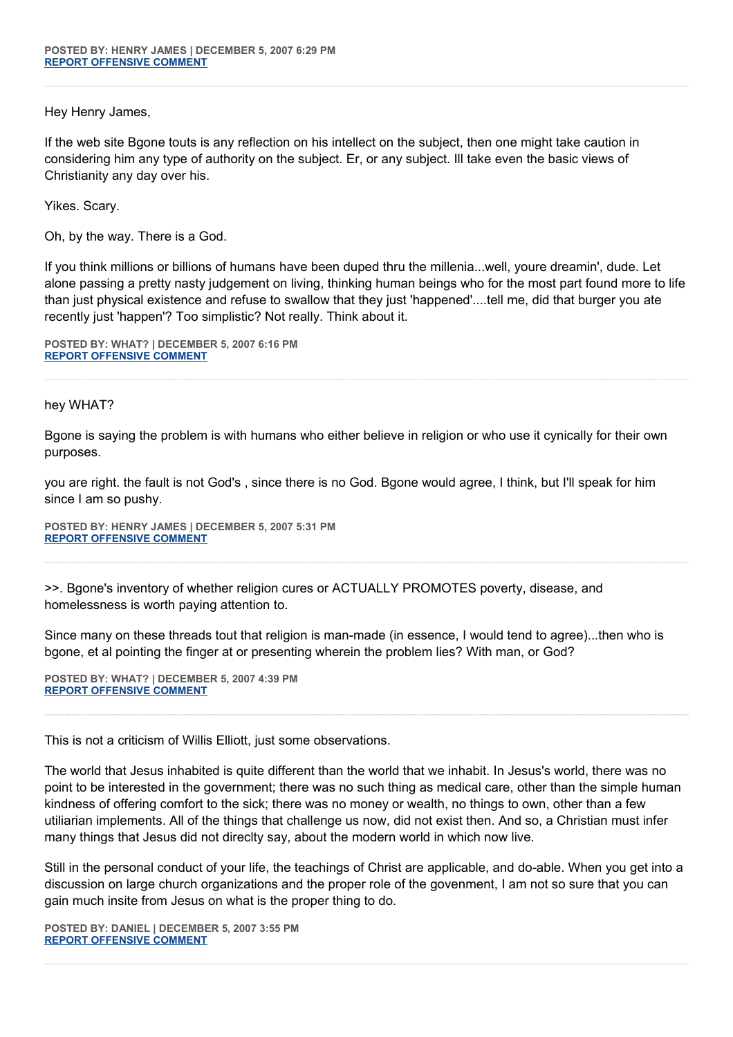Hey Henry James,

If the web site Bgone touts is any reflection on his intellect on the subject, then one might take caution in considering him any type of authority on the subject. Er, or any subject. Ill take even the basic views of Christianity any day over his.

Yikes. Scary.

Oh, by the way. There is a God.

If you think millions or billions of humans have been duped thru the millenia...well, youre dreamin', dude. Let alone passing a pretty nasty judgement on living, thinking human beings who for the most part found more to life than just physical existence and refuse to swallow that they just 'happened'....tell me, did that burger you ate recently just 'happen'? Too simplistic? Not really. Think about it.

**POSTED BY: WHAT? | DECEMBER 5, 2007 6:16 PM [REPORT OFFENSIVE COMMENT](mailto:blogs@washingtonpost.com?subject=On%20Faith%20Panelists%20Blog%20%20%7C%20%20WHAT?%20%20%7C%20%20Faith%20Turns%20Dreams%20into%20Deeds%20%20%7C%20%201839352&body=%0D%0D%0D%0D%0D================%0D?__mode=view%26_type=comment%26id=1839352%26blog_id=618)**

#### hey WHAT?

Bgone is saying the problem is with humans who either believe in religion or who use it cynically for their own purposes.

you are right. the fault is not God's , since there is no God. Bgone would agree, I think, but I'll speak for him since I am so pushy.

**POSTED BY: HENRY JAMES | DECEMBER 5, 2007 5:31 PM [REPORT OFFENSIVE COMMENT](mailto:blogs@washingtonpost.com?subject=On%20Faith%20Panelists%20Blog%20%20%7C%20%20Henry%20james%20%20%7C%20%20Faith%20Turns%20Dreams%20into%20Deeds%20%20%7C%20%201839114&body=%0D%0D%0D%0D%0D================%0D?__mode=view%26_type=comment%26id=1839114%26blog_id=618)**

>>. Bgone's inventory of whether religion cures or ACTUALLY PROMOTES poverty, disease, and homelessness is worth paying attention to.

Since many on these threads tout that religion is man-made (in essence, I would tend to agree)...then who is bgone, et al pointing the finger at or presenting wherein the problem lies? With man, or God?

**POSTED BY: WHAT? | DECEMBER 5, 2007 4:39 PM [REPORT OFFENSIVE COMMENT](mailto:blogs@washingtonpost.com?subject=On%20Faith%20Panelists%20Blog%20%20%7C%20%20WHAT?%20%20%7C%20%20Faith%20Turns%20Dreams%20into%20Deeds%20%20%7C%20%201838895&body=%0D%0D%0D%0D%0D================%0D?__mode=view%26_type=comment%26id=1838895%26blog_id=618)**

This is not a criticism of Willis Elliott, just some observations.

The world that Jesus inhabited is quite different than the world that we inhabit. In Jesus's world, there was no point to be interested in the government; there was no such thing as medical care, other than the simple human kindness of offering comfort to the sick; there was no money or wealth, no things to own, other than a few utiliarian implements. All of the things that challenge us now, did not exist then. And so, a Christian must infer many things that Jesus did not direclty say, about the modern world in which now live.

Still in the personal conduct of your life, the teachings of Christ are applicable, and do-able. When you get into a discussion on large church organizations and the proper role of the govenment, I am not so sure that you can gain much insite from Jesus on what is the proper thing to do.

**POSTED BY: DANIEL | DECEMBER 5, 2007 3:55 PM [REPORT OFFENSIVE COMMENT](mailto:blogs@washingtonpost.com?subject=On%20Faith%20Panelists%20Blog%20%20%7C%20%20Daniel%20%20%7C%20%20Faith%20Turns%20Dreams%20into%20Deeds%20%20%7C%20%201838722&body=%0D%0D%0D%0D%0D================%0D?__mode=view%26_type=comment%26id=1838722%26blog_id=618)**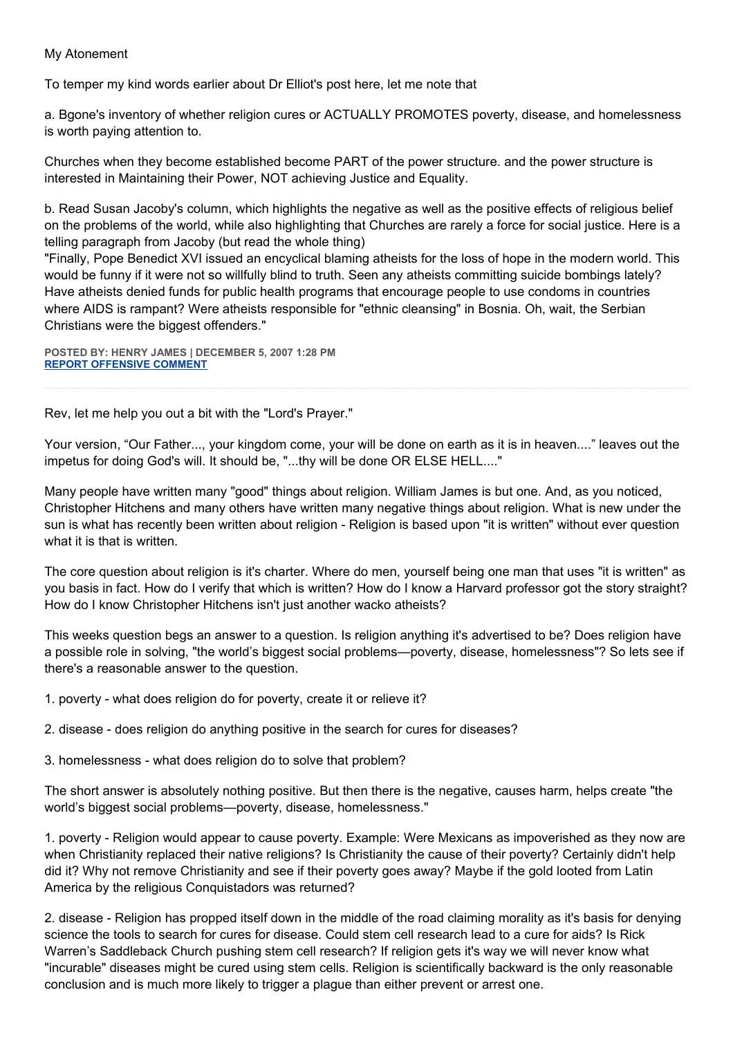## My Atonement

To temper my kind words earlier about Dr Elliot's post here, let me note that

a. Bgone's inventory of whether religion cures or ACTUALLY PROMOTES poverty, disease, and homelessness is worth paying attention to.

Churches when they become established become PART of the power structure. and the power structure is interested in Maintaining their Power, NOT achieving Justice and Equality.

b. Read Susan Jacoby's column, which highlights the negative as well as the positive effects of religious belief on the problems of the world, while also highlighting that Churches are rarely a force for social justice. Here is a telling paragraph from Jacoby (but read the whole thing)

"Finally, Pope Benedict XVI issued an encyclical blaming atheists for the loss of hope in the modern world. This would be funny if it were not so willfully blind to truth. Seen any atheists committing suicide bombings lately? Have atheists denied funds for public health programs that encourage people to use condoms in countries where AIDS is rampant? Were atheists responsible for "ethnic cleansing" in Bosnia. Oh, wait, the Serbian Christians were the biggest offenders."

**POSTED BY: HENRY JAMES | DECEMBER 5, 2007 1:28 PM [REPORT OFFENSIVE COMMENT](mailto:blogs@washingtonpost.com?subject=On%20Faith%20Panelists%20Blog%20%20%7C%20%20Henry%20James%20%20%7C%20%20Faith%20Turns%20Dreams%20into%20Deeds%20%20%7C%20%201838217&body=%0D%0D%0D%0D%0D================%0D?__mode=view%26_type=comment%26id=1838217%26blog_id=618)**

Rev, let me help you out a bit with the "Lord's Prayer."

Your version, "Our Father..., your kingdom come, your will be done on earth as it is in heaven...." leaves out the impetus for doing God's will. It should be, "...thy will be done OR ELSE HELL...."

Many people have written many "good" things about religion. William James is but one. And, as you noticed, Christopher Hitchens and many others have written many negative things about religion. What is new under the sun is what has recently been written about religion - Religion is based upon "it is written" without ever question what it is that is written.

The core question about religion is it's charter. Where do men, yourself being one man that uses "it is written" as you basis in fact. How do I verify that which is written? How do I know a Harvard professor got the story straight? How do I know Christopher Hitchens isn't just another wacko atheists?

This weeks question begs an answer to a question. Is religion anything it's advertised to be? Does religion have a possible role in solving, "the world's biggest social problems—poverty, disease, homelessness"? So lets see if there's a reasonable answer to the question.

1. poverty - what does religion do for poverty, create it or relieve it?

2. disease - does religion do anything positive in the search for cures for diseases?

3. homelessness - what does religion do to solve that problem?

The short answer is absolutely nothing positive. But then there is the negative, causes harm, helps create "the world's biggest social problems—poverty, disease, homelessness."

1. poverty - Religion would appear to cause poverty. Example: Were Mexicans as impoverished as they now are when Christianity replaced their native religions? Is Christianity the cause of their poverty? Certainly didn't help did it? Why not remove Christianity and see if their poverty goes away? Maybe if the gold looted from Latin America by the religious Conquistadors was returned?

2. disease - Religion has propped itself down in the middle of the road claiming morality as it's basis for denying science the tools to search for cures for disease. Could stem cell research lead to a cure for aids? Is Rick Warren's Saddleback Church pushing stem cell research? If religion gets it's way we will never know what "incurable" diseases might be cured using stem cells. Religion is scientifically backward is the only reasonable conclusion and is much more likely to trigger a plague than either prevent or arrest one.